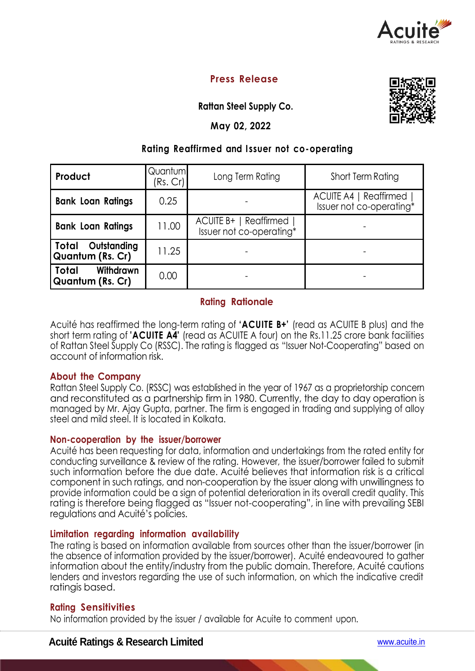

# **Press Release**

**Rattan Steel Supply Co.**

### **May 02, 2022**

## **Rating Reaffirmed and I ssuer not co-operating**

| Product                                    | Quantum<br>(Rs. Cr) | Long Term Rating                                   | Short Term Rating                                         |  |
|--------------------------------------------|---------------------|----------------------------------------------------|-----------------------------------------------------------|--|
| <b>Bank Loan Ratings</b>                   | 0.25                |                                                    | <b>ACUITE A4   Reaffirmed</b><br>Issuer not co-operating* |  |
| <b>Bank Loan Ratings</b>                   | 11.00               | ACUITE B+   Reaffirmed<br>Issuer not co-operating* |                                                           |  |
| Outstanding<br>  Total<br>Quantum (Rs. Cr) | 11.25               |                                                    |                                                           |  |
| Total<br>Withdrawn<br>Quantum (Rs. Cr)     | 0.00                |                                                    |                                                           |  |

## **Rating Rationale**

Acuité has reaffirmed the long-term rating of **'ACUITE B+'** (read as ACUITE B plus) and the short term rating of **'ACUITE A4'** (read as ACUITE A four) on the Rs.11.25 crore bank facilities of Rattan Steel Supply Co (RSSC). The rating is flagged as "Issuer Not-Cooperating" based on account of information risk.

## **About the Company**

Rattan Steel Supply Co. (RSSC) was established in the year of 1967 as a proprietorship concern and reconstituted as a partnership firm in 1980. Currently, the day to day operation is managed by Mr. Ajay Gupta, partner. The firm is engaged in trading and supplying of alloy steel and mild steel. It is located in Kolkata.

#### **Non-cooperation by the issuer/borrower**

Acuité has been requesting for data, information and undertakings from the rated entity for conducting surveillance & review of the rating. However, the issuer/borrower failed to submit such information before the due date. Acuité believes that information risk is a critical component in such ratings, and non-cooperation by the issuer along with unwillingness to provide information could be a sign of potential deterioration in its overall credit quality. This rating is therefore being flagged as "Issuer not-cooperating", in line with prevailing SEBI regulations and Acuité's policies.

#### **Limitation regarding information availability**

The rating is based on information available from sources other than the issuer/borrower (in the absence of information provided by the issuer/borrower). Acuité endeavoured to gather information about the entity/industry from the public domain. Therefore, Acuité cautions lenders and investors regarding the use of such information, on which the indicative credit ratingis based.

#### **Rating Sensitivities**

No information provided by the issuer / available for Acuite to comment upon.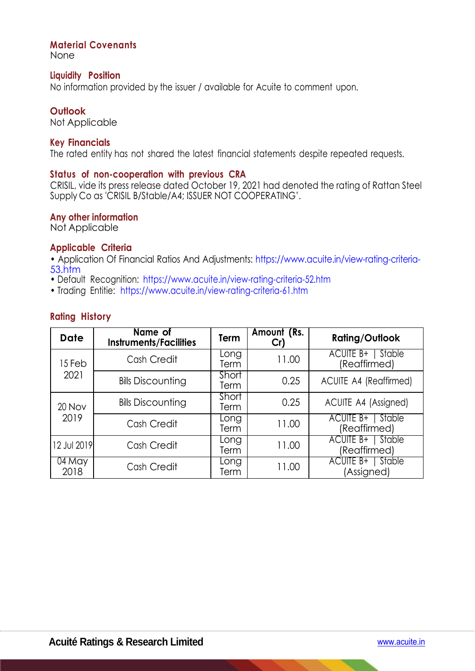## **Material Covenants**

None

#### **Liquidity Position**

No information provided by the issuer / available for Acuite to comment upon.

#### **Outlook**

Not Applicable

#### **Key Financials**

The rated entity has not shared the latest financial statements despite repeated requests.

#### **Status of non-cooperation with previous CRA**

CRISIL, vide its press release dated October 19, 2021 had denoted the rating of Rattan Steel Supply Co as 'CRISIL B/Stable/A4; ISSUER NOT COOPERATING'.

#### **Any other information**

Not Applicable

#### **Applicable Criteria**

• Application Of Financial Ratios And Adjustments: https://www.acuite.in/view-rating-criteria-53.htm

- Default Recognition: https://www.acuite.in/view-rating-criteria-52.htm
- Trading Entitie: https://www.acuite.in/view-rating-criteria-61.htm

## **Rating History**

| <b>Date</b>    | Name of<br><b>Instruments/Facilities</b> | Term          | Amount (Rs.<br>Cr) | <b>Rating/Outlook</b>               |  |
|----------------|------------------------------------------|---------------|--------------------|-------------------------------------|--|
| 15 Feb<br>2021 | Cash Credit                              | Long<br>Term  | 11.00              | ACUITE B+<br>Stable<br>(Reaffirmed) |  |
|                | <b>Bills Discounting</b>                 | Short<br>Term | 0.25               | <b>ACUITE A4 (Reaffirmed)</b>       |  |
| 20 Nov<br>2019 | <b>Bills Discounting</b>                 | Short<br>Term | 0.25               | ACUITE A4 (Assigned)                |  |
|                | Cash Credit                              | Long<br>Term  | 11.00              | ACUITE B+   Stable<br>(Reaffirmed)  |  |
| 12 Jul 2019    | Cash Credit                              | Long<br>Term  | 11.00              | ACUITE B+<br>Stable<br>(Reaffirmed) |  |
| 04 May<br>2018 | Cash Credit                              | Long<br>Term  | 11.00              | ACUITE B+   Stable<br>(Assigned)    |  |

k.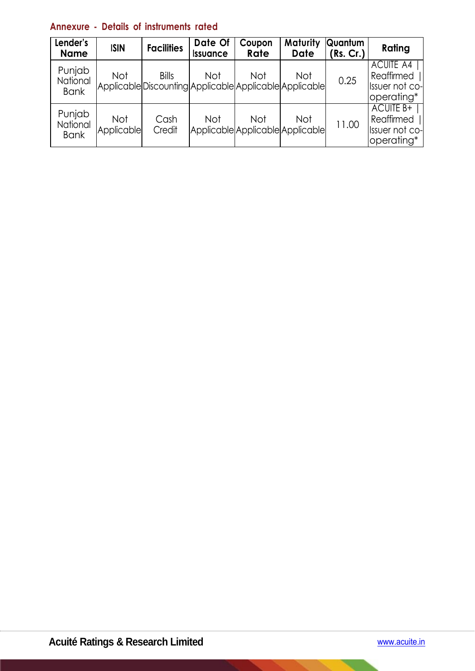# **Annexure - Details of instruments rated**

| Lender's<br><b>Name</b>           | <b>ISIN</b>       | <b>Facilities</b>                                                       | Date Of<br><b>Issuance</b> | Coupon<br>Rate | Maturity<br><b>Date</b>                        | <b>Quantum</b><br>(Rs. Cr.) | Rating                                                         |
|-----------------------------------|-------------------|-------------------------------------------------------------------------|----------------------------|----------------|------------------------------------------------|-----------------------------|----------------------------------------------------------------|
| Punjab<br>National<br><b>Bank</b> | Not               | <b>Bills</b><br>Applicable Discounting Applicable Applicable Applicable | Not                        | <b>Not</b>     | <b>Not</b>                                     | 0.25                        | <b>ACUITE A4</b><br>Reaffirmed<br>Issuer not co-<br>operating* |
| Punjab<br>National<br><b>Bank</b> | Not<br>Applicable | Cash<br>Credit                                                          | Not                        | <b>Not</b>     | <b>Not</b><br>Applicable Applicable Applicable | 11.00                       | <b>ACUITE B+</b><br>Reaffirmed<br>Issuer not co-<br>operating* |